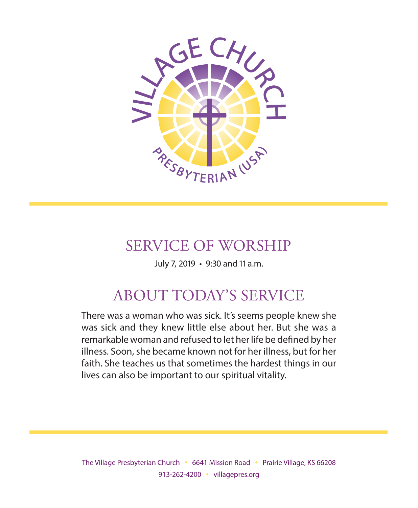

## SERVICE OF WORSHIP

July 7, 2019 • 9:30 and 11 a.m.

## ABOUT TODAY'S SERVICE

There was a woman who was sick. It's seems people knew she was sick and they knew little else about her. But she was a remarkable woman and refused to let her life be defined by her illness. Soon, she became known not for her illness, but for her faith. She teaches us that sometimes the hardest things in our lives can also be important to our spiritual vitality.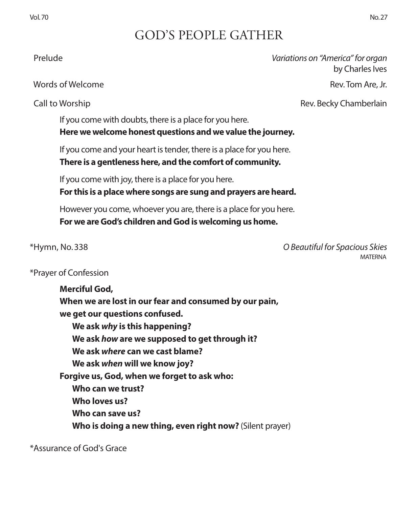## GOD'S PEOPLE GATHER

### Prelude *Variations on "America" for organ*

Words of Welcome Rev. Tom Are, Jr.

Call to Worship Rev. Becky Chamberlain

by Charles Ives

If you come with doubts, there is a place for you here. **Here we welcome honest questions and we value the journey.** 

If you come and your heart is tender, there is a place for you here.

**There is a gentleness here, and the comfort of community.**

If you come with joy, there is a place for you here.

**For this is a place where songs are sung and prayers are heard.**

However you come, whoever you are, there is a place for you here. **For we are God's children and God is welcoming us home.**

\*Hymn, No. 338 *O Beautiful for Spacious Skies* MATERNA

### \*Prayer of Confession

**Merciful God, When we are lost in our fear and consumed by our pain, we get our questions confused. We ask** *why* **is this happening? We ask** *how* **are we supposed to get through it? We ask** *where* **can we cast blame? We ask** *when* **will we know joy? Forgive us, God, when we forget to ask who: Who can we trust? Who loves us? Who can save us? Who is doing a new thing, even right now?** (Silent prayer)

\*Assurance of God's Grace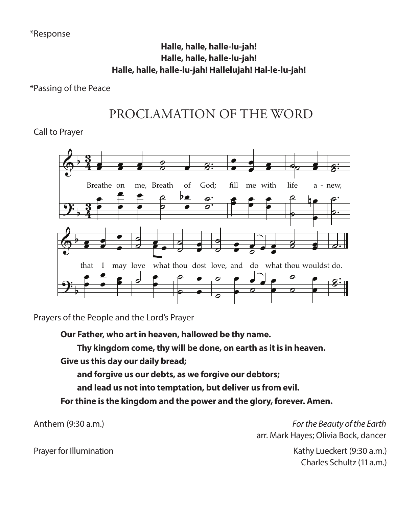### **Halle, halle, halle-lu-jah!** Halle, halle, halle-lu-jah!<br>Halle, halle, halle-lu-jah! المسير المسير العاملية.<br>Halle, halle, halle-lu-jah!<br>Halle, halle-lu-jah! Hallelujah! Hal-le-lu-jah! gift and Ho ly Spir it, - might: Halle, halle, halle-lu-jah! - -

### \*Passing of the Peace  $B = \frac{B}{2\pi}$ e Peace

### PROCLAMATION OF THE WORD BROCLAMATION OF THE WORD PROCLAMATION OF THE WORD œ **µ** . ˙ œ  $\overline{a}$ ˙ Breathe me,  $\sim$ heart

 Call to Prayer & b o<br>Prave



e People and the Lord's Praye of b ˙ Prayers of the People and the Lord's Prayer In both Hebrew and Greek, the words for  $\mathcal{E}$  spirit  $\mathcal{E}$  as "breath" or "wind," so it wind," so it wind," so it wind," so it wind," so it wind," so it wind," so it wind," so it wind," so it wind," so it wind," so

atr under de la propietat de la propietat de la propietat de la propietat de la propietat de la propietat de la pr ir, v ho a t in eay  $\mathsf{p}$ , n part lOW d p me h) glows ame illowed be thy name. our Father who art in heaven hallowed be thy name.<br>Our Father who art in heaven hallowed be thy name. b ther who art in her hallowed be the e<br>ene ˙ or the reople and the Lord's rrayer<br>**Our Father, who art in heaven, hallowed be thy name.** 

Thy kingdom come, thy will be done, on earth as it is in heaven.<br>Give us this day our daily bread:

.<br>Giv b y kingaom come, t<br>s this dav our dailv Give us this day our daily bread;<br>

ve us this day our daily bread;<br>and forgive us our debts, as we forgive our debtors; and forgive us our debts, as we forgive our debtors; TEXT: Edwin Hatch, 1878

and lead us not into temptation, but deliver us from evil.

r thine is the kingdom and the power and the glory, forever. Amen. For thine is the kingdom and the power and the glory, forever. Amen.

Anthem  $(9:30 a.m.)$  $\cdots$  (robert dimension, 1888) 6/20/13

Anthem (9:30 a.m.) **For the Beauty of the Earth** arr. Mark Hayes; Olivia Bock, dancer

> Kathy Lueckert (9:30 a.m.) Charles Schultz (11 a.m.)

Prayer for Illumination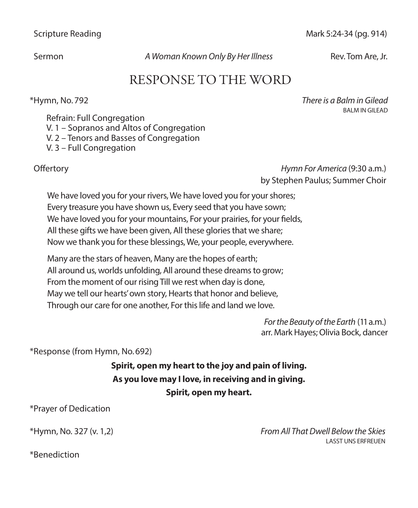Scripture Reading Mark 5:24-34 (pg. 914)

Sermon *A Woman Known Only By Her Illness* Rev. Tom Are, Jr.

## RESPONSE TO THE WORD

\*Hymn, No. 792 *There is a Balm in Gilead* BALM IN GILEAD

Refrain: Full Congregation V. 1 – Sopranos and Altos of Congregation V. 2 – Tenors and Basses of Congregation V. 3 – Full Congregation

 Offertory *Hymn For America* (9:30 a.m.) by Stephen Paulus; Summer Choir

We have loved you for your rivers, We have loved you for your shores; Every treasure you have shown us, Every seed that you have sown; We have loved you for your mountains, For your prairies, for your fields, All these gifts we have been given, All these glories that we share; Now we thank you for these blessings, We, your people, everywhere.

Many are the stars of heaven, Many are the hopes of earth; All around us, worlds unfolding, All around these dreams to grow; From the moment of our rising Till we rest when day is done, May we tell our hearts' own story, Hearts that honor and believe, Through our care for one another, For this life and land we love.

> *For the Beauty of the Earth* (11 a.m.) arr. Mark Hayes; Olivia Bock, dancer

\*Response (from Hymn, No. 692)

### **Spirit, open my heart to the joy and pain of living. As you love may I love, in receiving and in giving. Spirit, open my heart.**

\*Prayer of Dedication

\*Hymn, No. 327 (v. 1,2) *From All That Dwell Below the Skies* LASST UNS ERFREUEN

\*Benediction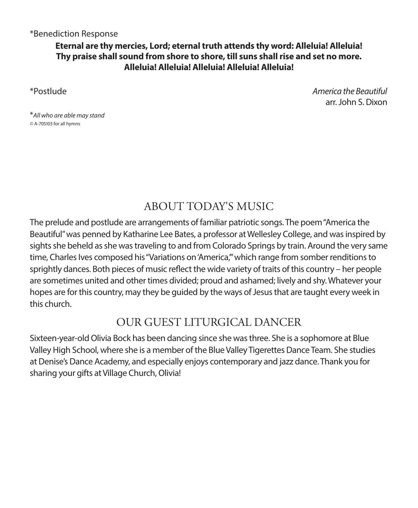### \*Benediction Response

### **Eternal are thy mercies, Lord; eternal truth attends thy word: Alleluia! Alleluia! Thy praise shall sound from shore to shore, till suns shall rise and set no more. Alleluia! Alleluia! Alleluia! Alleluia! Alleluia!**

\*Postlude *America the Beautiful* arr. John S. Dixon

\**All who are able may stand ©* A-705103 for all hymns

## ABOUT TODAY'S MUSIC

The prelude and postlude are arrangements of familiar patriotic songs. The poem "America the Beautiful" was penned by Katharine Lee Bates, a professor at Wellesley College, and was inspired by sights she beheld as she was traveling to and from Colorado Springs by train. Around the very same time, Charles Ives composed his "Variations on 'America,'" which range from somber renditions to sprightly dances. Both pieces of music reflect the wide variety of traits of this country – her people are sometimes united and other times divided; proud and ashamed; lively and shy. Whatever your hopes are for this country, may they be guided by the ways of Jesus that are taught every week in this church.

## OUR GUEST LITURGICAL DANCER

Sixteen-year-old Olivia Bock has been dancing since she was three. She is a sophomore at Blue Valley High School, where she is a member of the Blue Valley Tigerettes Dance Team. She studies at Denise's Dance Academy, and especially enjoys contemporary and jazz dance. Thank you for sharing your gifts at Village Church, Olivia!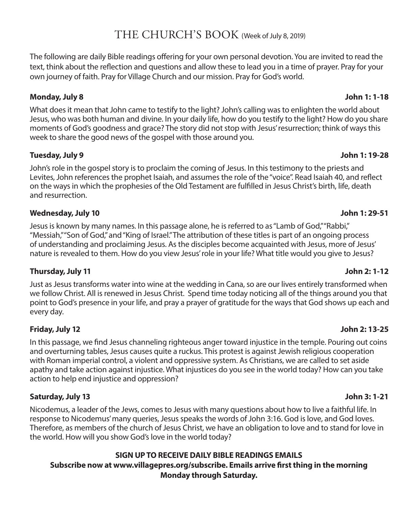### THE CHURCH'S BOOK (Week of July 8, 2019)

The following are daily Bible readings offering for your own personal devotion. You are invited to read the text, think about the reflection and questions and allow these to lead you in a time of prayer. Pray for your own journey of faith. Pray for Village Church and our mission. Pray for God's world.

### **Monday, July 8 John 1: 1-18**

What does it mean that John came to testify to the light? John's calling was to enlighten the world about Jesus, who was both human and divine. In your daily life, how do you testify to the light? How do you share moments of God's goodness and grace? The story did not stop with Jesus' resurrection; think of ways this week to share the good news of the gospel with those around you.

### **Tuesday, July 9 John 1: 19-28**

John's role in the gospel story is to proclaim the coming of Jesus. In this testimony to the priests and Levites, John references the prophet Isaiah, and assumes the role of the "voice". Read Isaiah 40, and reflect on the ways in which the prophesies of the Old Testament are fulfilled in Jesus Christ's birth, life, death and resurrection.

### **Wednesday, July 10 John 1: 29-51**

Jesus is known by many names. In this passage alone, he is referred to as "Lamb of God," "Rabbi," "Messiah," "Son of God," and "King of Israel." The attribution of these titles is part of an ongoing process of understanding and proclaiming Jesus. As the disciples become acquainted with Jesus, more of Jesus' nature is revealed to them. How do you view Jesus' role in your life? What title would you give to Jesus?

### **Thursday, July 11 John 2: 1-12**

Just as Jesus transforms water into wine at the wedding in Cana, so are our lives entirely transformed when we follow Christ. All is renewed in Jesus Christ. Spend time today noticing all of the things around you that point to God's presence in your life, and pray a prayer of gratitude for the ways that God shows up each and every day.

### **Friday, July 12 John 2: 13-25**

In this passage, we find Jesus channeling righteous anger toward injustice in the temple. Pouring out coins and overturning tables, Jesus causes quite a ruckus. This protest is against Jewish religious cooperation with Roman imperial control, a violent and oppressive system. As Christians, we are called to set aside apathy and take action against injustice. What injustices do you see in the world today? How can you take action to help end injustice and oppression?

### **Saturday, July 13 John 3: 1-21**

Nicodemus, a leader of the Jews, comes to Jesus with many questions about how to live a faithful life. In response to Nicodemus' many queries, Jesus speaks the words of John 3:16. God is love, and God loves. Therefore, as members of the church of Jesus Christ, we have an obligation to love and to stand for love in the world. How will you show God's love in the world today?

### **SIGN UP TO RECEIVE DAILY BIBLE READINGS EMAILS Subscribe now at www.villagepres.org/subscribe. Emails arrive first thing in the morning Monday through Saturday.**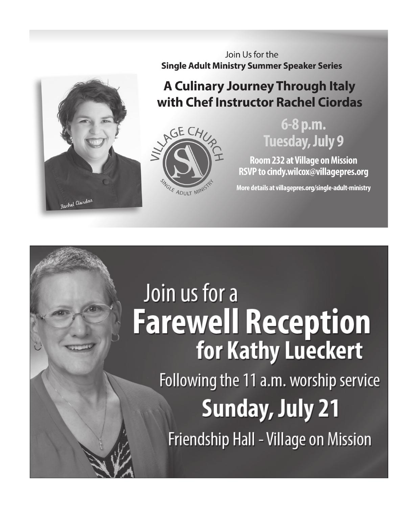

Join Us for the **Single Adult Ministry Summer Speaker Series** 

## A Culinary Journey Through Italy with Chef Instructor Rachel Ciordas



## 6-8 p.m. **Tuesday, July 9**

**Room 232 at Village on Mission** RSVP to cindy.wilcox@villagepres.org

More details at villagepres.org/single-adult-ministry

# Join us for a **Farewell Reception** for Kathy Lueckert Following the 11 a.m. worship service **Sunday, July 21** Friendship Hall - Village on Mission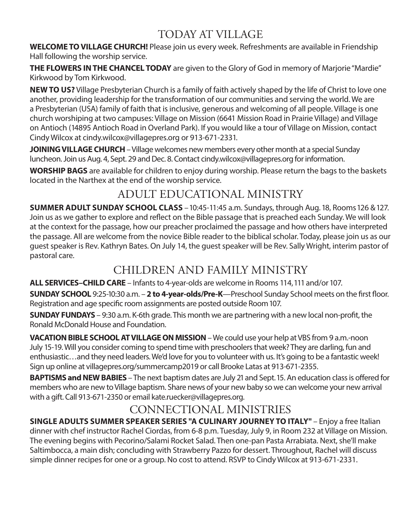## TODAY AT VILLAGE

**WELCOME TO VILLAGE CHURCH!** Please join us every week. Refreshments are available in Friendship Hall following the worship service.

**THE FLOWERS IN THE CHANCEL TODAY** are given to the Glory of God in memory of Marjorie "Mardie" Kirkwood by Tom Kirkwood.

**NEW TO US?** Village Presbyterian Church is a family of faith actively shaped by the life of Christ to love one another, providing leadership for the transformation of our communities and serving the world. We are a Presbyterian (USA) family of faith that is inclusive, generous and welcoming of all people. Village is one church worshiping at two campuses: Village on Mission (6641 Mission Road in Prairie Village) and Village on Antioch (14895 Antioch Road in Overland Park). If you would like a tour of Village on Mission, contact Cindy Wilcox at cindy.wilcox@villagepres.org or 913-671-2331.

**JOINING VILLAGE CHURCH**– Village welcomes new members every other month at a special Sunday luncheon. Join us Aug. 4, Sept. 29 and Dec. 8. Contact cindy.wilcox@villagepres.org for information.

**WORSHIP BAGS** are available for children to enjoy during worship. Please return the bags to the baskets located in the Narthex at the end of the worship service.

## ADULT EDUCATIONAL MINISTRY

**SUMMER ADULT SUNDAY SCHOOL CLASS** – 10:45-11:45 a.m. Sundays, through Aug. 18, Rooms 126 & 127. Join us as we gather to explore and reflect on the Bible passage that is preached each Sunday. We will look at the context for the passage, how our preacher proclaimed the passage and how others have interpreted the passage. All are welcome from the novice Bible reader to the biblical scholar. Today, please join us as our guest speaker is Rev. Kathryn Bates. On July 14, the guest speaker will be Rev. Sally Wright, interim pastor of pastoral care.

## CHILDREN AND FAMILY MINISTRY

**ALL SERVICES–CHILD CARE** – Infants to 4-year-olds are welcome in Rooms 114, 111 and/or 107.

**SUNDAY SCHOOL** 9:25-10:30 a.m. – **2 to 4-year-olds/Pre-K**—Preschool Sunday School meets on the first floor. Registration and age specific room assignments are posted outside Room 107.

**SUNDAY FUNDAYS** – 9:30 a.m. K-6th grade. This month we are partnering with a new local non-profit, the Ronald McDonald House and Foundation.

**VACATION BIBLE SCHOOL AT VILLAGE ON MISSION** – We could use your help at VBS from 9 a.m.-noon July 15-19. Will you consider coming to spend time with preschoolers that week? They are darling, fun and enthusiastic…and they need leaders. We'd love for you to volunteer with us. It's going to be a fantastic week! Sign up online at villagepres.org/summercamp2019 or call Brooke Latas at 913-671-2355.

**BAPTISMS and NEW BABIES** – The next baptism dates are July 21 and Sept. 15. An education class is offered for members who are new to Village baptism. Share news of your new baby so we can welcome your new arrival with a gift. Call 913-671-2350 or email kate.ruecker@villagepres.org.

## CONNECTIONAL MINISTRIES

**SINGLE ADULTS SUMMER SPEAKER SERIES "A CULINARY JOURNEY TO ITALY"** – Enjoy a free Italian dinner with chef instructor Rachel Ciordas, from 6-8 p.m. Tuesday, July 9, in Room 232 at Village on Mission. The evening begins with Pecorino/Salami Rocket Salad. Then one-pan Pasta Arrabiata. Next, she'll make Saltimbocca, a main dish; concluding with Strawberry Pazzo for dessert. Throughout, Rachel will discuss simple dinner recipes for one or a group. No cost to attend. RSVP to Cindy Wilcox at 913-671-2331.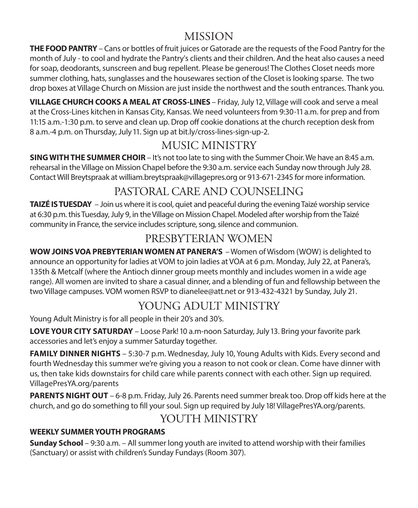## MISSION

**THE FOOD PANTRY** – Cans or bottles of fruit juices or Gatorade are the requests of the Food Pantry for the month of July - to cool and hydrate the Pantry's clients and their children. And the heat also causes a need for soap, deodorants, sunscreen and bug repellent. Please be generous! The Clothes Closet needs more summer clothing, hats, sunglasses and the housewares section of the Closet is looking sparse. The two drop boxes at Village Church on Mission are just inside the northwest and the south entrances. Thank you.

**VILLAGE CHURCH COOKS A MEAL AT CROSS-LINES** – Friday, July 12, Village will cook and serve a meal at the Cross-Lines kitchen in Kansas City, Kansas. We need volunteers from 9:30-11 a.m. for prep and from 11:15 a.m.-1:30 p.m. to serve and clean up. Drop off cookie donations at the church reception desk from 8 a.m.-4 p.m. on Thursday, July 11. Sign up at bit.ly/cross-lines-sign-up-2.

## MUSIC MINISTRY

**SING WITH THE SUMMER CHOIR** – It's not too late to sing with the Summer Choir. We have an 8:45 a.m. rehearsal in the Village on Mission Chapel before the 9:30 a.m. service each Sunday now through July 28. Contact Will Breytspraak at william.breytspraak@villagepres.org or 913-671-2345 for more information.

## PASTORAL CARE AND COUNSELING

**TAIZÉ IS TUESDAY** – Join us where it is cool, quiet and peaceful during the evening Taizé worship service at 6:30 p.m. this Tuesday, July 9, in the Village on Mission Chapel. Modeled after worship from the Taizé community in France, the service includes scripture, song, silence and communion.

## PRESBYTERIAN WOMEN

**WOW JOINS VOA PREBYTERIAN WOMEN AT PANERA'S** – Women of Wisdom (WOW) is delighted to announce an opportunity for ladies at VOM to join ladies at VOA at 6 p.m. Monday, July 22, at Panera's, 135th & Metcalf (where the Antioch dinner group meets monthly and includes women in a wide age range). All women are invited to share a casual dinner, and a blending of fun and fellowship between the two Village campuses. VOM women RSVP to dianelee@att.net or 913-432-4321 by Sunday, July 21.

## YOUNG ADULT MINISTRY

Young Adult Ministry is for all people in their 20's and 30's.

**LOVE YOUR CITY SATURDAY** – Loose Park! 10 a.m-noon Saturday, July 13. Bring your favorite park accessories and let's enjoy a summer Saturday together.

**FAMILY DINNER NIGHTS** – 5:30-7 p.m. Wednesday, July 10, Young Adults with Kids. Every second and fourth Wednesday this summer we're giving you a reason to not cook or clean. Come have dinner with us, then take kids downstairs for child care while parents connect with each other. Sign up required. VillagePresYA.org/parents

**PARENTS NIGHT OUT** – 6-8 p.m. Friday, July 26. Parents need summer break too. Drop off kids here at the church, and go do something to fill your soul. Sign up required by July 18! VillagePresYA.org/parents.

## YOUTH MINISTRY

### **WEEKLY SUMMER YOUTH PROGRAMS**

**Sunday School** – 9:30 a.m. – All summer long youth are invited to attend worship with their families (Sanctuary) or assist with children's Sunday Fundays (Room 307).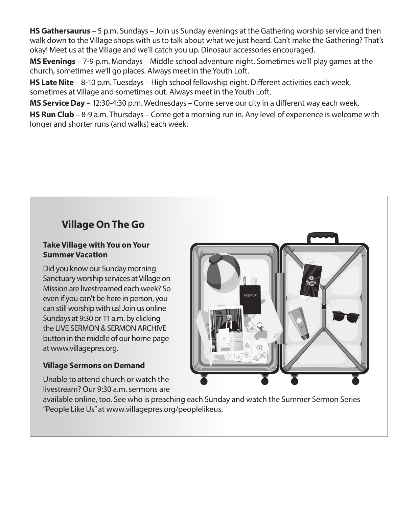**HS Gathersaurus** – 5 p.m. Sundays – Join us Sunday evenings at the Gathering worship service and then walk down to the Village shops with us to talk about what we just heard. Can't make the Gathering? That's okay! Meet us at the Village and we'll catch you up. Dinosaur accessories encouraged.

**MS Evenings** – 7-9 p.m. Mondays – Middle school adventure night. Sometimes we'll play games at the church, sometimes we'll go places. Always meet in the Youth Loft.

**HS Late Nite** – 8-10 p.m. Tuesdays – High school fellowship night. Different activities each week, sometimes at Village and sometimes out. Always meet in the Youth Loft.

**MS Service Day** – 12:30-4:30 p.m. Wednesdays – Come serve our city in a different way each week.

**HS Run Club** – 8-9 a.m. Thursdays – Come get a morning run in. Any level of experience is welcome with longer and shorter runs (and walks) each week.

## **Village On The Go**

### **Take Village with You on Your Summer Vacation**

Did you know our Sunday morning Sanctuary worship services at Village on Mission are livestreamed each week? So even if you can't be here in person, you can still worship with us! Join us online Sundays at 9:30 or 11 a.m. by clicking the LIVE SERMON & SERMON ARCHIVE button in the middle of our home page at www.villagepres.org.

### **Village Sermons on Demand**

Unable to attend church or watch the livestream? Our 9:30 a.m. sermons are

available online, too. See who is preaching each Sunday and watch the Summer Sermon Series "People Like Us" at www.villagepres.org/peoplelikeus.

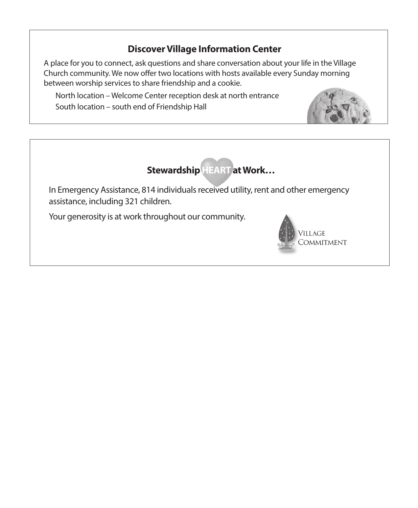### **Discover Village Information Center**

A place for you to connect, ask questions and share conversation about your life in the Village Church community. We now offer two locations with hosts available every Sunday morning between worship services to share friendship and a cookie.

 North location – Welcome Center reception desk at north entrance South location – south end of Friendship Hall





In Emergency Assistance, 814 individuals received utility, rent and other emergency assistance, including 321 children.

Your generosity is at work throughout our community.